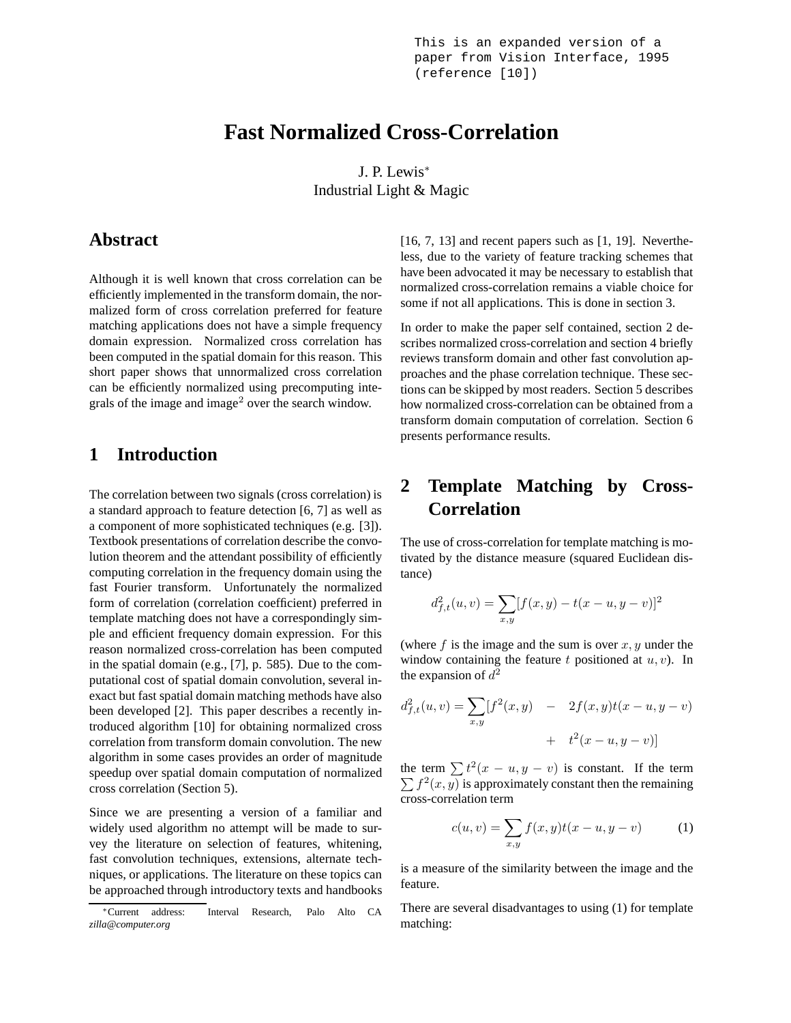This is an expanded version of a paper from Vision Interface, 1995 (reference [10])

# **Fast Normalized Cross-Correlation**

J. P. Lewis<sup>∗</sup> Industrial Light & Magic

### **Abstract**

Although it is well known that cross correlation can be efficiently implemented in the transform domain, the normalized form of cross correlation preferred for feature matching applications does not have a simple frequency domain expression. Normalized cross correlation has been computed in the spatial domain for this reason. This short paper shows that unnormalized cross correlation can be efficiently normalized using precomputing integrals of the image and image<sup>2</sup> over the search window.

## **1 Introduction**

The correlation between two signals (cross correlation) is a standard approach to feature detection [6, 7] as well as a component of more sophisticated techniques (e.g. [3]). Textbook presentations of correlation describe the convolution theorem and the attendant possibility of efficiently computing correlation in the frequency domain using the fast Fourier transform. Unfortunately the normalized form of correlation (correlation coefficient) preferred in template matching does not have a correspondingly simple and efficient frequency domain expression. For this reason normalized cross-correlation has been computed in the spatial domain (e.g., [7], p. 585). Due to the computational cost of spatial domain convolution, several inexact but fast spatial domain matching methods have also been developed [2]. This paper describes a recently introduced algorithm [10] for obtaining normalized cross correlation from transform domain convolution. The new algorithm in some cases provides an order of magnitude speedup over spatial domain computation of normalized cross correlation (Section 5).

Since we are presenting a version of a familiar and widely used algorithm no attempt will be made to survey the literature on selection of features, whitening, fast convolution techniques, extensions, alternate techniques, or applications. The literature on these topics can be approached through introductory texts and handbooks  $[16, 7, 13]$  and recent papers such as  $[1, 19]$ . Nevertheless, due to the variety of feature tracking schemes that have been advocated it may be necessary to establish that normalized cross-correlation remains a viable choice for some if not all applications. This is done in section 3.

In order to make the paper self contained, section 2 describes normalized cross-correlation and section 4 briefly reviews transform domain and other fast convolution approaches and the phase correlation technique. These sections can be skipped by most readers. Section 5 describes how normalized cross-correlation can be obtained from a transform domain computation of correlation. Section 6 presents performance results.

## **2 Template Matching by Cross-Correlation**

The use of cross-correlation for template matching is motivated by the distance measure (squared Euclidean distance)

$$
d_{f,t}^{2}(u,v) = \sum_{x,y} [f(x,y) - t(x-u, y-v)]^{2}
$$

(where  $f$  is the image and the sum is over  $x, y$  under the window containing the feature t positioned at  $u, v$ ). In the expansion of  $d^2$ 

$$
d_{f,t}^{2}(u,v) = \sum_{x,y} [f^{2}(x,y) - 2f(x,y)t(x-u,y-v) + t^{2}(x-u,y-v)]
$$

the term  $\sum t^2(x - u, y - v)$  is constant. If the term  $\sum f^2(x, y)$  is approximately constant then the remaining cross-correlation term

$$
c(u, v) = \sum_{x, y} f(x, y)t(x - u, y - v)
$$
 (1)

is a measure of the similarity between the image and the feature.

There are several disadvantages to using (1) for template matching:

<sup>∗</sup>Current address: Interval Research, Palo Alto CA *zilla@computer.org*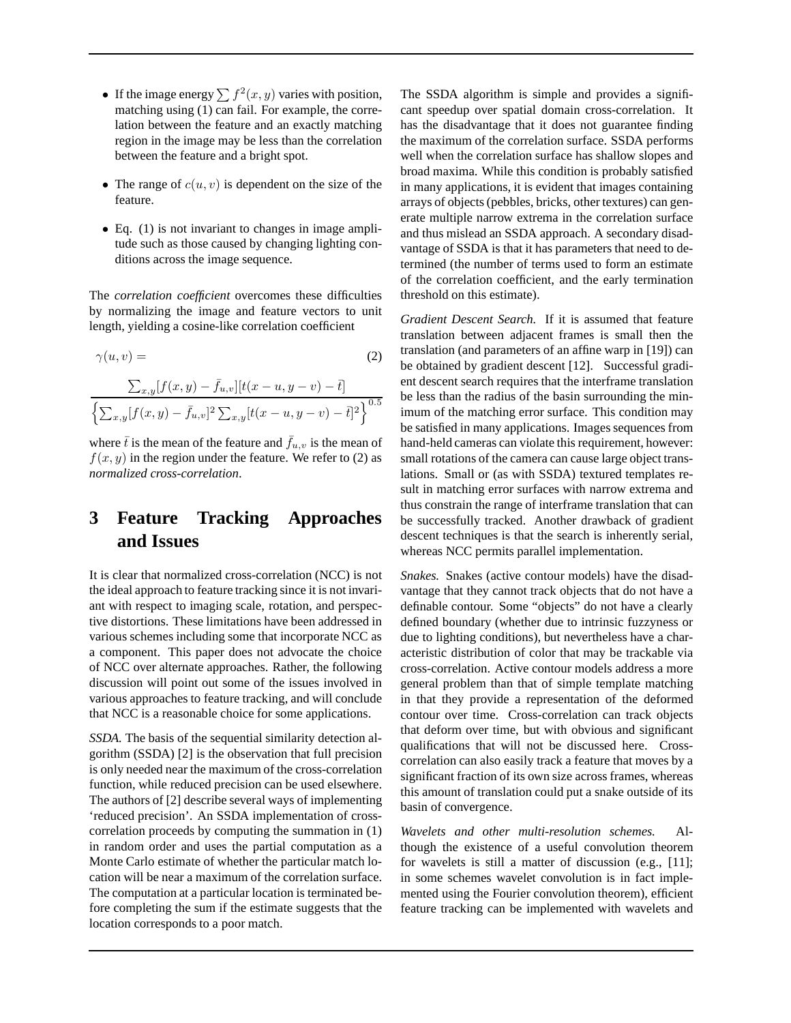- If the image energy  $\sum f^2(x, y)$  varies with position, matching using (1) can fail. For example, the correlation between the feature and an exactly matching region in the image may be less than the correlation between the feature and a bright spot.
- The range of  $c(u, v)$  is dependent on the size of the feature.
- Eq. (1) is not invariant to changes in image amplitude such as those caused by changing lighting conditions across the image sequence.

The *correlation coefficient* overcomes these difficulties by normalizing the image and feature vectors to unit length, yielding a cosine-like correlation coefficient

$$
\gamma(u, v) = \qquad (2)
$$
  

$$
\sum_{x,y} [f(x, y) - \bar{f}_{u,v}] [t(x - u, y - v) - \bar{t}]
$$
  

$$
\left\{ \sum_{x,y} [f(x, y) - \bar{f}_{u,v}]^2 \sum_{x,y} [t(x - u, y - v) - \bar{t}]^2 \right\}^{0.5}
$$

where  $\bar{t}$  is the mean of the feature and  $\bar{f}_{u,v}$  is the mean of  $f(x, y)$  in the region under the feature. We refer to (2) as *normalized cross-correlation*.

## **3 Feature Tracking Approaches and Issues**

It is clear that normalized cross-correlation (NCC) is not the ideal approach to feature tracking since it is not invariant with respect to imaging scale, rotation, and perspective distortions. These limitations have been addressed in various schemes including some that incorporate NCC as a component. This paper does not advocate the choice of NCC over alternate approaches. Rather, the following discussion will point out some of the issues involved in various approaches to feature tracking, and will conclude that NCC is a reasonable choice for some applications.

*SSDA.* The basis of the sequential similarity detection algorithm (SSDA) [2] is the observation that full precision is only needed near the maximum of the cross-correlation function, while reduced precision can be used elsewhere. The authors of [2] describe several ways of implementing 'reduced precision'. An SSDA implementation of crosscorrelation proceeds by computing the summation in (1) in random order and uses the partial computation as a Monte Carlo estimate of whether the particular match location will be near a maximum of the correlation surface. The computation at a particular location is terminated before completing the sum if the estimate suggests that the location corresponds to a poor match.

The SSDA algorithm is simple and provides a significant speedup over spatial domain cross-correlation. It has the disadvantage that it does not guarantee finding the maximum of the correlation surface. SSDA performs well when the correlation surface has shallow slopes and broad maxima. While this condition is probably satisfied in many applications, it is evident that images containing arrays of objects (pebbles, bricks, other textures) can generate multiple narrow extrema in the correlation surface and thus mislead an SSDA approach. A secondary disadvantage of SSDA is that it has parameters that need to determined (the number of terms used to form an estimate of the correlation coefficient, and the early termination threshold on this estimate).

*Gradient Descent Search.* If it is assumed that feature translation between adjacent frames is small then the translation (and parameters of an affine warp in [19]) can be obtained by gradient descent [12]. Successful gradient descent search requires that the interframe translation be less than the radius of the basin surrounding the minimum of the matching error surface. This condition may be satisfied in many applications. Images sequences from hand-held cameras can violate this requirement, however: small rotations of the camera can cause large object translations. Small or (as with SSDA) textured templates result in matching error surfaces with narrow extrema and thus constrain the range of interframe translation that can be successfully tracked. Another drawback of gradient descent techniques is that the search is inherently serial, whereas NCC permits parallel implementation.

*Snakes.* Snakes (active contour models) have the disadvantage that they cannot track objects that do not have a definable contour. Some "objects" do not have a clearly defined boundary (whether due to intrinsic fuzzyness or due to lighting conditions), but nevertheless have a characteristic distribution of color that may be trackable via cross-correlation. Active contour models address a more general problem than that of simple template matching in that they provide a representation of the deformed contour over time. Cross-correlation can track objects that deform over time, but with obvious and significant qualifications that will not be discussed here. Crosscorrelation can also easily track a feature that moves by a significant fraction of its own size across frames, whereas this amount of translation could put a snake outside of its basin of convergence.

*Wavelets and other multi-resolution schemes.* Although the existence of a useful convolution theorem for wavelets is still a matter of discussion (e.g., [11]; in some schemes wavelet convolution is in fact implemented using the Fourier convolution theorem), efficient feature tracking can be implemented with wavelets and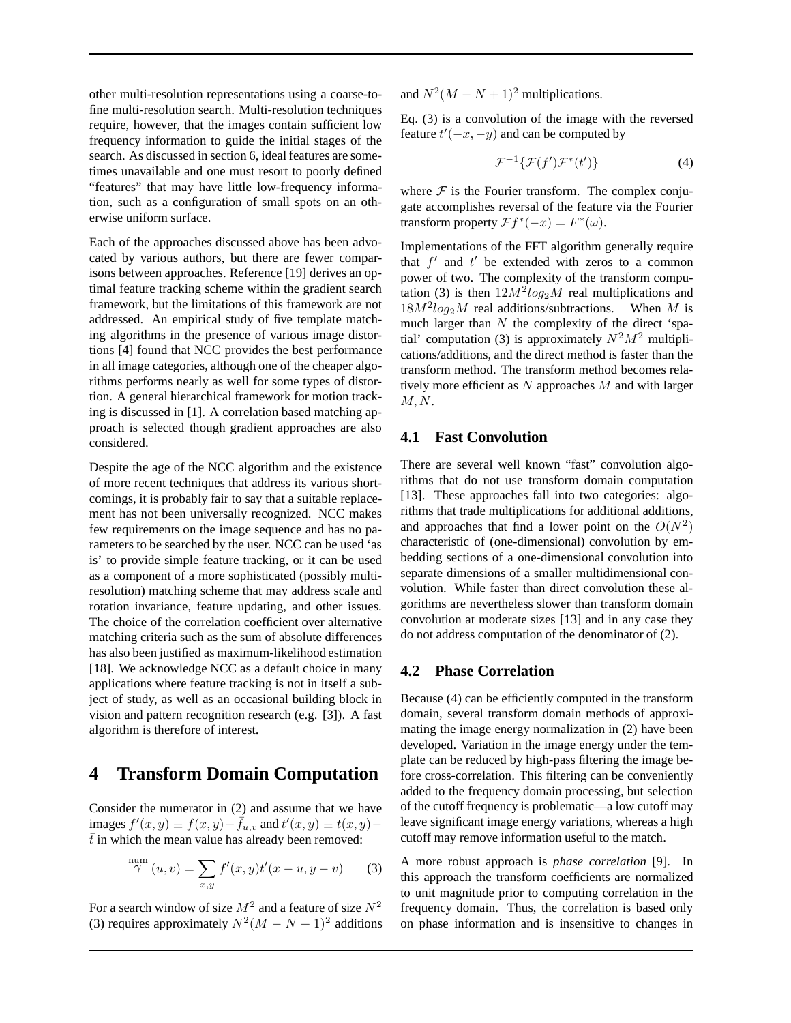other multi-resolution representations using a coarse-tofine multi-resolution search. Multi-resolution techniques require, however, that the images contain sufficient low frequency information to guide the initial stages of the search. As discussed in section 6, ideal features are sometimes unavailable and one must resort to poorly defined "features" that may have little low-frequency information, such as a configuration of small spots on an otherwise uniform surface.

Each of the approaches discussed above has been advocated by various authors, but there are fewer comparisons between approaches. Reference [19] derives an optimal feature tracking scheme within the gradient search framework, but the limitations of this framework are not addressed. An empirical study of five template matching algorithms in the presence of various image distortions [4] found that NCC provides the best performance in all image categories, although one of the cheaper algorithms performs nearly as well for some types of distortion. A general hierarchical framework for motion tracking is discussed in [1]. A correlation based matching approach is selected though gradient approaches are also considered.

Despite the age of the NCC algorithm and the existence of more recent techniques that address its various shortcomings, it is probably fair to say that a suitable replacement has not been universally recognized. NCC makes few requirements on the image sequence and has no parameters to be searched by the user. NCC can be used 'as is' to provide simple feature tracking, or it can be used as a component of a more sophisticated (possibly multiresolution) matching scheme that may address scale and rotation invariance, feature updating, and other issues. The choice of the correlation coefficient over alternative matching criteria such as the sum of absolute differences has also been justified as maximum-likelihood estimation [18]. We acknowledge NCC as a default choice in many applications where feature tracking is not in itself a subject of study, as well as an occasional building block in vision and pattern recognition research (e.g. [3]). A fast algorithm is therefore of interest.

## **4 Transform Domain Computation**

Consider the numerator in (2) and assume that we have images  $f'(x, y) \equiv f(x, y) - \dot{f}_{u,v}$  and  $t'(x, y) \equiv t(x, y) \bar{t}$  in which the mean value has already been removed:

$$
\stackrel{\text{num}}{\gamma}(u,v) = \sum_{x,y} f'(x,y)t'(x-u,y-v) \qquad (3)
$$

For a search window of size  $M^2$  and a feature of size  $N^2$ (3) requires approximately  $N^2(M - N + 1)^2$  additions and  $N^2(M - N + 1)^2$  multiplications.

Eq. (3) is a convolution of the image with the reversed feature  $t'(-x, -y)$  and can be computed by

$$
\mathcal{F}^{-1}\{\mathcal{F}(f')\mathcal{F}^*(t')\}\tag{4}
$$

where  $F$  is the Fourier transform. The complex conjugate accomplishes reversal of the feature via the Fourier transform property  $\mathcal{F}f^{*}(-x) = F^{*}(\omega)$ .

Implementations of the FFT algorithm generally require that  $f'$  and  $t'$  be extended with zeros to a common power of two. The complexity of the transform computation (3) is then  $12M^2 \log_2 M$  real multiplications and  $18M^2log_2 M$  real additions/subtractions. When M is much larger than  $N$  the complexity of the direct 'spatial' computation (3) is approximately  $N^2M^2$  multiplications/additions, and the direct method is faster than the transform method. The transform method becomes relatively more efficient as  $N$  approaches  $M$  and with larger  $M, N$ .

#### **4.1 Fast Convolution**

There are several well known "fast" convolution algorithms that do not use transform domain computation [13]. These approaches fall into two categories: algorithms that trade multiplications for additional additions, and approaches that find a lower point on the  $O(N^2)$ characteristic of (one-dimensional) convolution by embedding sections of a one-dimensional convolution into separate dimensions of a smaller multidimensional convolution. While faster than direct convolution these algorithms are nevertheless slower than transform domain convolution at moderate sizes [13] and in any case they do not address computation of the denominator of (2).

#### **4.2 Phase Correlation**

Because (4) can be efficiently computed in the transform domain, several transform domain methods of approximating the image energy normalization in (2) have been developed. Variation in the image energy under the template can be reduced by high-pass filtering the image before cross-correlation. This filtering can be conveniently added to the frequency domain processing, but selection of the cutoff frequency is problematic—a low cutoff may leave significant image energy variations, whereas a high cutoff may remove information useful to the match.

A more robust approach is *phase correlation* [9]. In this approach the transform coefficients are normalized to unit magnitude prior to computing correlation in the frequency domain. Thus, the correlation is based only on phase information and is insensitive to changes in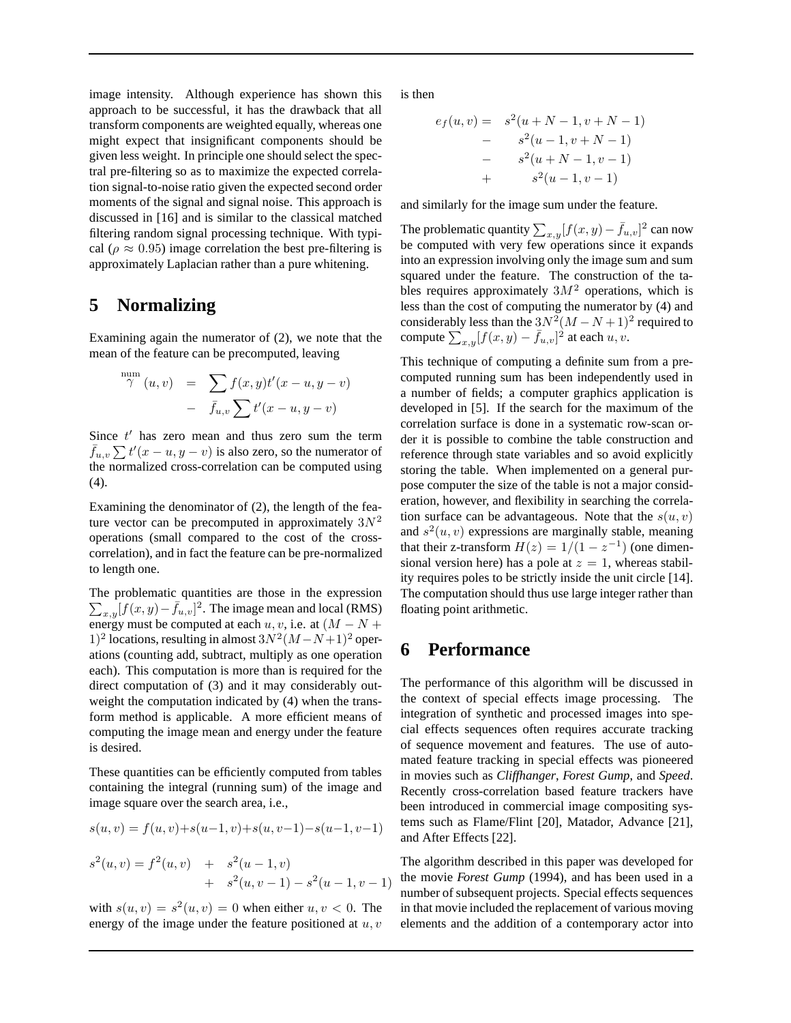image intensity. Although experience has shown this approach to be successful, it has the drawback that all transform components are weighted equally, whereas one might expect that insignificant components should be given less weight. In principle one should select the spectral pre-filtering so as to maximize the expected correlation signal-to-noise ratio given the expected second order moments of the signal and signal noise. This approach is discussed in [16] and is similar to the classical matched filtering random signal processing technique. With typical ( $\rho \approx 0.95$ ) image correlation the best pre-filtering is approximately Laplacian rather than a pure whitening.

## **5 Normalizing**

Examining again the numerator of (2), we note that the mean of the feature can be precomputed, leaving

$$
\int_{\gamma}^{\text{num}} (u, v) = \sum_{\bar{f}u, v} f(x, y) t'(x - u, y - v)
$$

$$
- \bar{f}_{u, v} \sum_{\bar{f}u} t'(x - u, y - v)
$$

Since  $t'$  has zero mean and thus zero sum the term  $\bar{f}_{u,v} \sum t'(x - u, y - v)$  is also zero, so the numerator of the normalized cross-correlation can be computed using (4).

Examining the denominator of (2), the length of the feature vector can be precomputed in approximately  $3N^2$ operations (small compared to the cost of the crosscorrelation), and in fact the feature can be pre-normalized to length one.

 $\sum_{x,y}[f(x,y)-\bar{f}_{u,v}]^2$ . The image mean and local (RMS) The problematic quantities are those in the expression energy must be computed at each u, v, i.e. at  $(M - N +$ 1)<sup>2</sup> locations, resulting in almost  $3N^2(M-N+1)^2$  operations (counting add, subtract, multiply as one operation each). This computation is more than is required for the direct computation of (3) and it may considerably outweight the computation indicated by (4) when the transform method is applicable. A more efficient means of computing the image mean and energy under the feature is desired.

These quantities can be efficiently computed from tables containing the integral (running sum) of the image and image square over the search area, i.e.,

$$
s(u, v) = f(u, v) + s(u-1, v) + s(u, v-1) - s(u-1, v-1)
$$
  

$$
s2(u, v) = f2(u, v) + s2(u-1, v)
$$

+ 
$$
s^2(u, v-1) - s^2(u-1, v-1)
$$

with  $s(u, v) = s^2(u, v) = 0$  when either  $u, v < 0$ . The energy of the image under the feature positioned at  $u, v$  is then

$$
e_f(u, v) = s^2(u + N - 1, v + N - 1)
$$
  
- 
$$
s^2(u - 1, v + N - 1)
$$
  
- 
$$
s^2(u + N - 1, v - 1)
$$
  
+ 
$$
s^2(u - 1, v - 1)
$$

and similarly for the image sum under the feature.

The problematic quantity  $\sum_{x,y}[f(x,y) - \bar{f}_{u,v}]^2$  can now be computed with very few operations since it expands into an expression involving only the image sum and sum squared under the feature. The construction of the tables requires approximately  $3M^2$  operations, which is less than the cost of computing the numerator by (4) and considerably less than the  $3N^2(M-N+1)^2$  required to compute  $\sum_{x,y} [f(x,y) - \bar{f}_{u,v}]^2$  at each  $u, v$ .

This technique of computing a definite sum from a precomputed running sum has been independently used in a number of fields; a computer graphics application is developed in [5]. If the search for the maximum of the correlation surface is done in a systematic row-scan order it is possible to combine the table construction and reference through state variables and so avoid explicitly storing the table. When implemented on a general purpose computer the size of the table is not a major consideration, however, and flexibility in searching the correlation surface can be advantageous. Note that the  $s(u, v)$ and  $s^2(u, v)$  expressions are marginally stable, meaning that their z-transform  $H(z) = 1/(1 - z^{-1})$  (one dimensional version here) has a pole at  $z = 1$ , whereas stability requires poles to be strictly inside the unit circle [14]. The computation should thus use large integer rather than floating point arithmetic.

## **6 Performance**

The performance of this algorithm will be discussed in the context of special effects image processing. The integration of synthetic and processed images into special effects sequences often requires accurate tracking of sequence movement and features. The use of automated feature tracking in special effects was pioneered in movies such as *Cliffhanger*, *Forest Gump*, and *Speed*. Recently cross-correlation based feature trackers have been introduced in commercial image compositing systems such as Flame/Flint [20], Matador, Advance [21], and After Effects [22].

The algorithm described in this paper was developed for the movie *Forest Gump* (1994), and has been used in a number of subsequent projects. Special effects sequences in that movie included the replacement of various moving elements and the addition of a contemporary actor into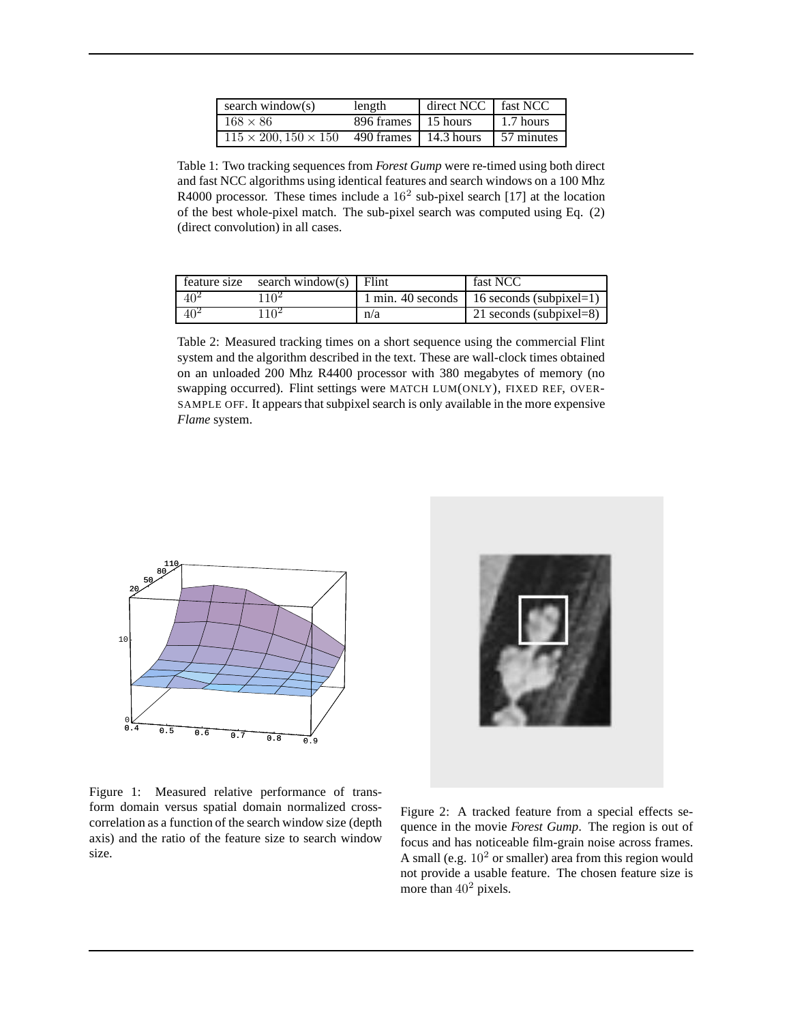| search window(s)                 | length                        | direct NCC   fast NCC |            |
|----------------------------------|-------------------------------|-----------------------|------------|
| $168 \times 86$                  | 896 frames 15 hours           |                       | 1.7 hours  |
| $115 \times 200, 150 \times 150$ | 490 frames $\vert$ 14.3 hours |                       | 57 minutes |

Table 1: Two tracking sequences from *Forest Gump* were re-timed using both direct and fast NCC algorithms using identical features and search windows on a 100 Mhz R4000 processor. These times include a  $16<sup>2</sup>$  sub-pixel search [17] at the location of the best whole-pixel match. The sub-pixel search was computed using Eq. (2) (direct convolution) in all cases.

|          | feature size search window(s) $\vert$ Flint |     | fast NCC                                          |
|----------|---------------------------------------------|-----|---------------------------------------------------|
| $40^{2}$ | 110 <sup>2</sup>                            |     | 1 min. 40 seconds $\vert$ 16 seconds (subpixel=1) |
| $40^{2}$ | 110 <sup>2</sup>                            | n/a | 21 seconds (subpixel=8)                           |

Table 2: Measured tracking times on a short sequence using the commercial Flint system and the algorithm described in the text. These are wall-clock times obtained on an unloaded 200 Mhz R4400 processor with 380 megabytes of memory (no swapping occurred). Flint settings were MATCH LUM(ONLY), FIXED REF, OVER-SAMPLE OFF. It appears that subpixel search is only available in the more expensive *Flame* system.





Figure 1: Measured relative performance of transform domain versus spatial domain normalized crosscorrelation as a function of the search window size (depth axis) and the ratio of the feature size to search window size.

Figure 2: A tracked feature from a special effects sequence in the movie *Forest Gump*. The region is out of focus and has noticeable film-grain noise across frames. A small (e.g.  $10<sup>2</sup>$  or smaller) area from this region would not provide a usable feature. The chosen feature size is more than  $40^2$  pixels.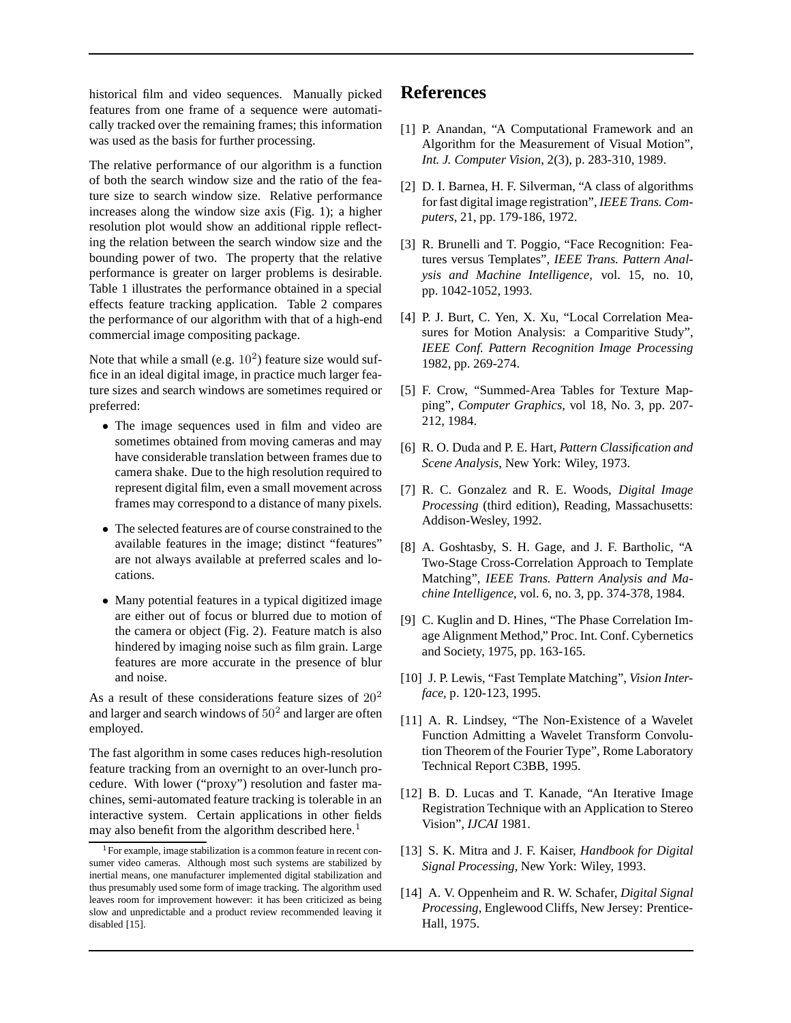historical film and video sequences. Manually picked features from one frame of a sequence were automatically tracked over the remaining frames; this information was used as the basis for further processing.

The relative performance of our algorithm is a function of both the search window size and the ratio of the feature size to search window size. Relative performance increases along the window size axis (Fig. 1); a higher resolution plot would show an additional ripple reflecting the relation between the search window size and the bounding power of two. The property that the relative performance is greater on larger problems is desirable. Table 1 illustrates the performance obtained in a special effects feature tracking application. Table 2 compares the performance of our algorithm with that of a high-end commercial image compositing package.

Note that while a small (e.g.  $10^2$ ) feature size would suffice in an ideal digital image, in practice much larger feature sizes and search windows are sometimes required or preferred:

- The image sequences used in film and video are sometimes obtained from moving cameras and may have considerable translation between frames due to camera shake. Due to the high resolution required to represent digital film, even a small movement across frames may correspond to a distance of many pixels.
- The selected features are of course constrained to the available features in the image; distinct "features" are not always available at preferred scales and locations.
- Many potential features in a typical digitized image are either out of focus or blurred due to motion of the camera or object (Fig. 2). Feature match is also hindered by imaging noise such as film grain. Large features are more accurate in the presence of blur and noise.

As a result of these considerations feature sizes of  $20<sup>2</sup>$ and larger and search windows of  $50^2$  and larger are often employed.

The fast algorithm in some cases reduces high-resolution feature tracking from an overnight to an over-lunch procedure. With lower ("proxy") resolution and faster machines, semi-automated feature tracking is tolerable in an interactive system. Certain applications in other fields may also benefit from the algorithm described here.<sup>1</sup>

## **References**

- [1] P. Anandan, "A Computational Framework and an Algorithm for the Measurement of Visual Motion", *Int. J. Computer Vision*, 2(3), p. 283-310, 1989.
- [2] D. I. Barnea, H. F. Silverman, "A class of algorithms for fast digital image registration", *IEEE Trans. Computers*, 21, pp. 179-186, 1972.
- [3] R. Brunelli and T. Poggio, "Face Recognition: Features versus Templates", *IEEE Trans. Pattern Analysis and Machine Intelligence*, vol. 15, no. 10, pp. 1042-1052, 1993.
- [4] P. J. Burt, C. Yen, X. Xu, "Local Correlation Measures for Motion Analysis: a Comparitive Study", *IEEE Conf. Pattern Recognition Image Processing* 1982, pp. 269-274.
- [5] F. Crow, "Summed-Area Tables for Texture Mapping", *Computer Graphics*, vol 18, No. 3, pp. 207- 212, 1984.
- [6] R. O. Duda and P. E. Hart, *Pattern Classification and Scene Analysis*, New York: Wiley, 1973.
- [7] R. C. Gonzalez and R. E. Woods, *Digital Image Processing* (third edition), Reading, Massachusetts: Addison-Wesley, 1992.
- [8] A. Goshtasby, S. H. Gage, and J. F. Bartholic, "A Two-Stage Cross-Correlation Approach to Template Matching", *IEEE Trans. Pattern Analysis and Machine Intelligence*, vol. 6, no. 3, pp. 374-378, 1984.
- [9] C. Kuglin and D. Hines, "The Phase Correlation Image Alignment Method," Proc. Int. Conf. Cybernetics and Society, 1975, pp. 163-165.
- [10] J. P. Lewis, "Fast Template Matching", *Vision Interface,* p. 120-123, 1995.
- [11] A. R. Lindsey, "The Non-Existence of a Wavelet Function Admitting a Wavelet Transform Convolution Theorem of the Fourier Type", Rome Laboratory Technical Report C3BB, 1995.
- [12] B. D. Lucas and T. Kanade, "An Iterative Image Registration Technique with an Application to Stereo Vision", *IJCAI* 1981.
- [13] S. K. Mitra and J. F. Kaiser, *Handbook for Digital Signal Processing*, New York: Wiley, 1993.
- [14] A. V. Oppenheim and R. W. Schafer, *Digital Signal Processing*, Englewood Cliffs, New Jersey: Prentice-Hall, 1975.

<sup>&</sup>lt;sup>1</sup>For example, image stabilization is a common feature in recent consumer video cameras. Although most such systems are stabilized by inertial means, one manufacturer implemented digital stabilization and thus presumably used some form of image tracking. The algorithm used leaves room for improvement however: it has been criticized as being slow and unpredictable and a product review recommended leaving it disabled [15].